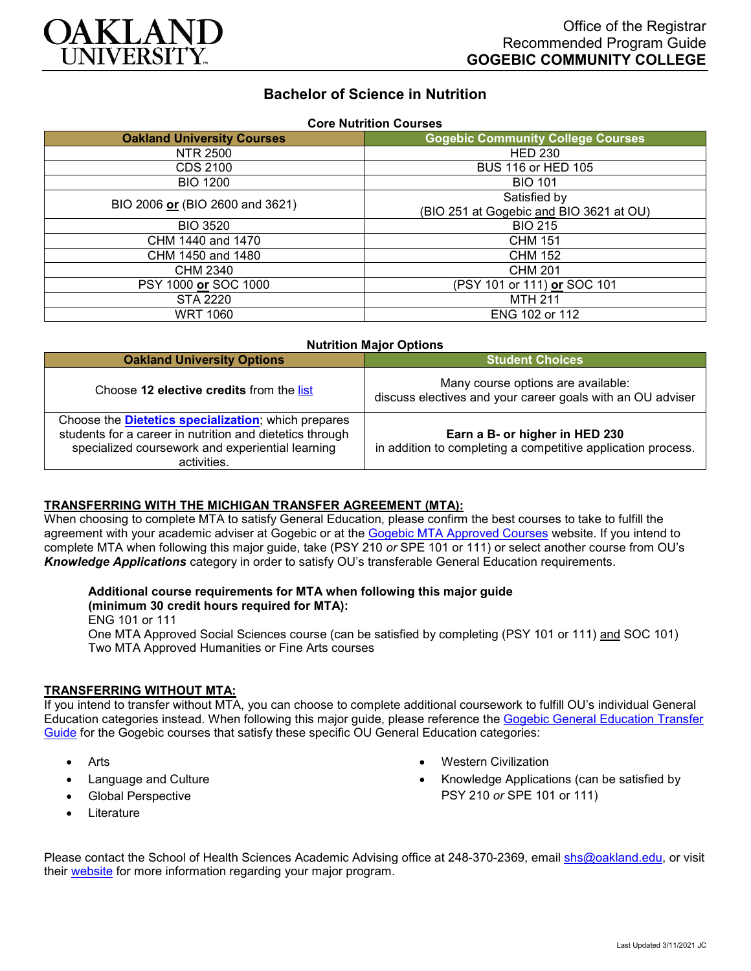

# **Bachelor of Science in Nutrition**

| <b>Core Nutrition Courses</b>     |                                          |
|-----------------------------------|------------------------------------------|
| <b>Oakland University Courses</b> | <b>Gogebic Community College Courses</b> |
| NTR 2500                          | <b>HED 230</b>                           |
| <b>CDS 2100</b>                   | BUS 116 or HED 105                       |
| <b>BIO 1200</b>                   | <b>BIO 101</b>                           |
| BIO 2006 or (BIO 2600 and 3621)   | Satisfied by                             |
|                                   | (BIO 251 at Gogebic and BIO 3621 at OU)  |
| <b>BIO 3520</b>                   | <b>BIO 215</b>                           |
| CHM 1440 and 1470                 | <b>CHM 151</b>                           |
| CHM 1450 and 1480                 | <b>CHM 152</b>                           |
| CHM 2340                          | CHM 201                                  |
| PSY 1000 or SOC 1000              | (PSY 101 or 111) or SOC 101              |
| STA 2220                          | <b>MTH 211</b>                           |
| <b>WRT 1060</b>                   | ENG 102 or 112                           |

| <b>Nutrition Major Options</b>                                                                                                                                                             |                                                                                                  |
|--------------------------------------------------------------------------------------------------------------------------------------------------------------------------------------------|--------------------------------------------------------------------------------------------------|
| <b>Oakland University Options</b>                                                                                                                                                          | <b>Student Choices</b>                                                                           |
| Choose 12 elective credits from the list                                                                                                                                                   | Many course options are available:<br>discuss electives and your career goals with an OU adviser |
| Choose the <b>Dietetics specialization</b> ; which prepares<br>students for a career in nutrition and dietetics through<br>specialized coursework and experiential learning<br>activities. | Earn a B- or higher in HED 230<br>in addition to completing a competitive application process.   |

#### **TRANSFERRING WITH THE MICHIGAN TRANSFER AGREEMENT (MTA):**

When choosing to complete MTA to satisfy General Education, please confirm the best courses to take to fulfill the agreement with your academic adviser at Gogebic or at the <u>Gogebic MTA Approved Courses</u> website. If you intend to complete MTA when following this major guide, take (PSY 210 *or* SPE 101 or 111) or select another course from OU's *Knowledge Applications* category in order to satisfy OU's transferable General Education requirements.

#### **Additional course requirements for MTA when following this major guide**

#### **(minimum 30 credit hours required for MTA):**

ENG 101 or 111

One MTA Approved Social Sciences course (can be satisfied by completing (PSY 101 or 111) and SOC 101) Two MTA Approved Humanities or Fine Arts courses

### **TRANSFERRING WITHOUT MTA:**

If you intend to transfer without MTA, you can choose to complete additional coursework to fulfill OU's individual General Education categories instead. When following this major guide, please reference the [Gogebic General Education Transfer](https://www.oakland.edu/Assets/Oakland/program-guides/gogebic-community-college/university-general-education-requirements/Gogebic%20Gen%20Ed.pdf)  [Guide](https://www.oakland.edu/Assets/Oakland/program-guides/gogebic-community-college/university-general-education-requirements/Gogebic%20Gen%20Ed.pdf) for the Gogebic courses that satisfy these specific OU General Education categories:

- **Arts**
- Language and Culture
- Global Perspective
- **Literature**
- Western Civilization
- Knowledge Applications (can be satisfied by PSY 210 *or* SPE 101 or 111)

Please contact the School of Health Sciences Academic Advising office at 248-370-2369, email [shs@oakland.edu,](mailto:shs@oakland.edu) or visit their [website](http://www.oakland.edu/shs/advising) for more information regarding your major program.